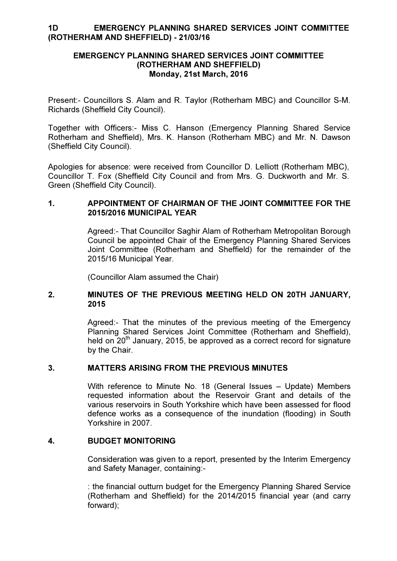## EMERGENCY PLANNING SHARED SERVICES JOINT COMMITTEE (ROTHERHAM AND SHEFFIELD) Monday, 21st March, 2016

Present:- Councillors S. Alam and R. Taylor (Rotherham MBC) and Councillor S-M. Richards (Sheffield City Council).

Together with Officers:- Miss C. Hanson (Emergency Planning Shared Service Rotherham and Sheffield), Mrs. K. Hanson (Rotherham MBC) and Mr. N. Dawson (Sheffield City Council).

Apologies for absence: were received from Councillor D. Lelliott (Rotherham MBC), Councillor T. Fox (Sheffield City Council and from Mrs. G. Duckworth and Mr. S. Green (Sheffield City Council).

# 1. APPOINTMENT OF CHAIRMAN OF THE JOINT COMMITTEE FOR THE 2015/2016 MUNICIPAL YEAR

Agreed:- That Councillor Saghir Alam of Rotherham Metropolitan Borough Council be appointed Chair of the Emergency Planning Shared Services Joint Committee (Rotherham and Sheffield) for the remainder of the 2015/16 Municipal Year.

(Councillor Alam assumed the Chair)

### 2. MINUTES OF THE PREVIOUS MEETING HELD ON 20TH JANUARY, 2015

Agreed:- That the minutes of the previous meeting of the Emergency Planning Shared Services Joint Committee (Rotherham and Sheffield), held on  $20<sup>th</sup>$  January, 2015, be approved as a correct record for signature by the Chair.

### 3. MATTERS ARISING FROM THE PREVIOUS MINUTES

With reference to Minute No. 18 (General Issues – Update) Members requested information about the Reservoir Grant and details of the various reservoirs in South Yorkshire which have been assessed for flood defence works as a consequence of the inundation (flooding) in South Yorkshire in 2007.

### 4. BUDGET MONITORING

Consideration was given to a report, presented by the Interim Emergency and Safety Manager, containing:-

: the financial outturn budget for the Emergency Planning Shared Service (Rotherham and Sheffield) for the 2014/2015 financial year (and carry forward);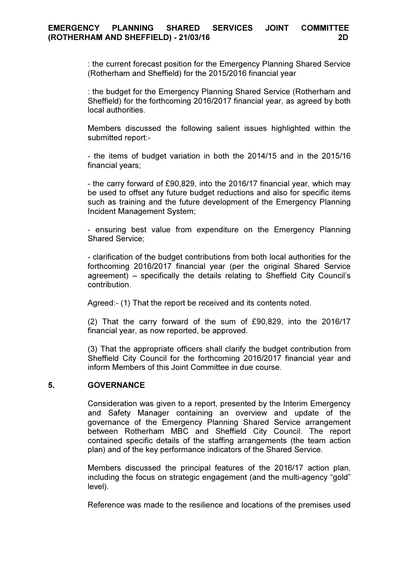: the current forecast position for the Emergency Planning Shared Service (Rotherham and Sheffield) for the 2015/2016 financial year

: the budget for the Emergency Planning Shared Service (Rotherham and Sheffield) for the forthcoming 2016/2017 financial year, as agreed by both local authorities.

Members discussed the following salient issues highlighted within the submitted report:-

- the items of budget variation in both the 2014/15 and in the 2015/16 financial years;

- the carry forward of £90,829, into the 2016/17 financial year, which may be used to offset any future budget reductions and also for specific items such as training and the future development of the Emergency Planning Incident Management System;

- ensuring best value from expenditure on the Emergency Planning Shared Service;

- clarification of the budget contributions from both local authorities for the forthcoming 2016/2017 financial year (per the original Shared Service agreement) – specifically the details relating to Sheffield City Council's contribution.

Agreed:- (1) That the report be received and its contents noted.

(2) That the carry forward of the sum of £90,829, into the 2016/17 financial year, as now reported, be approved.

(3) That the appropriate officers shall clarify the budget contribution from Sheffield City Council for the forthcoming 2016/2017 financial year and inform Members of this Joint Committee in due course.

### 5. GOVERNANCE

Consideration was given to a report, presented by the Interim Emergency and Safety Manager containing an overview and update of the governance of the Emergency Planning Shared Service arrangement between Rotherham MBC and Sheffield City Council. The report contained specific details of the staffing arrangements (the team action plan) and of the key performance indicators of the Shared Service.

Members discussed the principal features of the 2016/17 action plan, including the focus on strategic engagement (and the multi-agency "gold" level).

Reference was made to the resilience and locations of the premises used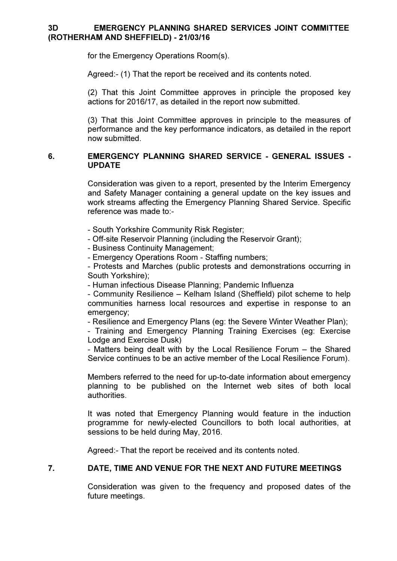## 3D EMERGENCY PLANNING SHARED SERVICES JOINT COMMITTEE (ROTHERHAM AND SHEFFIELD) - 21/03/16

for the Emergency Operations Room(s).

Agreed:- (1) That the report be received and its contents noted.

(2) That this Joint Committee approves in principle the proposed key actions for 2016/17, as detailed in the report now submitted.

(3) That this Joint Committee approves in principle to the measures of performance and the key performance indicators, as detailed in the report now submitted.

## 6. EMERGENCY PLANNING SHARED SERVICE - GENERAL ISSUES - UPDATE

Consideration was given to a report, presented by the Interim Emergency and Safety Manager containing a general update on the key issues and work streams affecting the Emergency Planning Shared Service. Specific reference was made to:-

- South Yorkshire Community Risk Register;
- Off-site Reservoir Planning (including the Reservoir Grant);
- Business Continuity Management;
- Emergency Operations Room Staffing numbers;

- Protests and Marches (public protests and demonstrations occurring in South Yorkshire);

- Human infectious Disease Planning; Pandemic Influenza

- Community Resilience – Kelham Island (Sheffield) pilot scheme to help communities harness local resources and expertise in response to an emergency;

- Resilience and Emergency Plans (eg: the Severe Winter Weather Plan);

- Training and Emergency Planning Training Exercises (eg: Exercise Lodge and Exercise Dusk)

- Matters being dealt with by the Local Resilience Forum – the Shared Service continues to be an active member of the Local Resilience Forum).

Members referred to the need for up-to-date information about emergency planning to be published on the Internet web sites of both local authorities.

It was noted that Emergency Planning would feature in the induction programme for newly-elected Councillors to both local authorities, at sessions to be held during May, 2016.

Agreed:- That the report be received and its contents noted.

### 7. DATE, TIME AND VENUE FOR THE NEXT AND FUTURE MEETINGS

Consideration was given to the frequency and proposed dates of the future meetings.